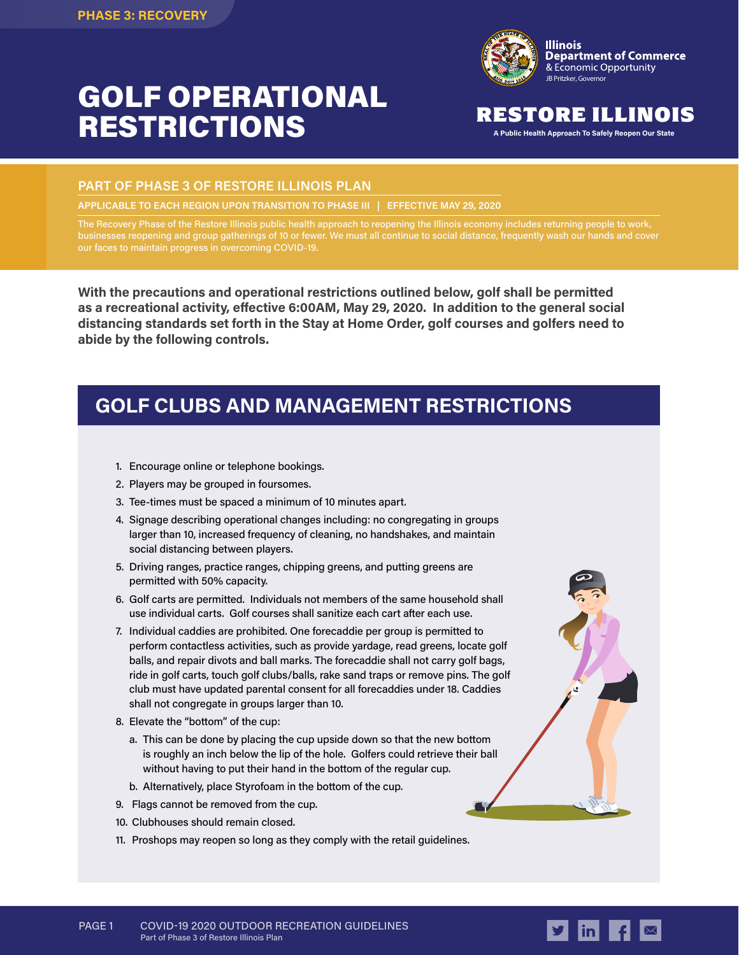# GOLF OPERATIONAL **RESTRICTIONS** RESTORE ILLINO



## RESTORE ILLINOIS

#### **PART OF PHASE 3 OF RESTORE ILLINOIS PLAN**

**APPLICABLE TO EACH REGION UPON TRANSITION TO PHASE III | EFFECTIVE MAY 29, 2020**

The Recovery Phase of the Restore Illinois public health approach to reopening the Illinois economy includes returning people to work, businesses reopening and group gatherings of 10 or fewer. We must all continue to social distance, frequently wash our hands and cover our faces to maintain progress in overcoming COVID-19.

**With the precautions and operational restrictions outlined below, golf shall be permitted as a recreational activity, effective 6:00AM, May 29, 2020. In addition to the general social distancing standards set forth in the Stay at Home Order, golf courses and golfers need to abide by the following controls.**

## **GOLF CLUBS AND MANAGEMENT RESTRICTIONS**

- 1. Encourage online or telephone bookings.
- 2. Players may be grouped in foursomes.
- 3. Tee-times must be spaced a minimum of 10 minutes apart.
- 4. Signage describing operational changes including: no congregating in groups larger than 10, increased frequency of cleaning, no handshakes, and maintain social distancing between players.
- 5. Driving ranges, practice ranges, chipping greens, and putting greens are permitted with 50% capacity.
- 6. Golf carts are permitted. Individuals not members of the same household shall use individual carts. Golf courses shall sanitize each cart after each use.
- 7. Individual caddies are prohibited. One forecaddie per group is permitted to perform contactless activities, such as provide yardage, read greens, locate golf balls, and repair divots and ball marks. The forecaddie shall not carry golf bags, ride in golf carts, touch golf clubs/balls, rake sand traps or remove pins. The golf club must have updated parental consent for all forecaddies under 18. Caddies shall not congregate in groups larger than 10.
- 8. Elevate the "bottom" of the cup:
	- a. This can be done by placing the cup upside down so that the new bottom is roughly an inch below the lip of the hole. Golfers could retrieve their ball without having to put their hand in the bottom of the regular cup.
	- b. Alternatively, place Styrofoam in the bottom of the cup.
- 9. Flags cannot be removed from the cup.
- 10. Clubhouses should remain closed.
- 11. Proshops may reopen so long as they comply with the retail guidelines.